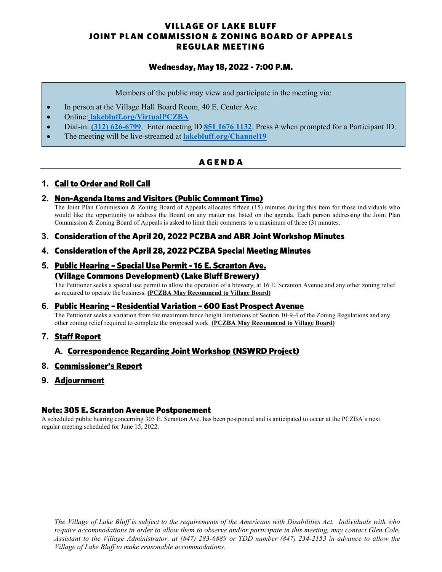## VILLAGE OF LAKE BLUFF JOINT PLAN COMMISSION & ZONING BOARD OF APPEALS REGULAR MEETING

## Wednesday, May 18, 2022 - 7:00 P.M.

Members of the public may view and participate in the meeting via:

- In person at the Village Hall Board Room, 40 E. Center Ave.
- Online: **[lakebluff.org/VirtualPCZBA](https://www.lakebluff.org/VirtualPCZBA)**
- Dial-in: **[\(312\) 626-6799](tel:+13126266799,,85116761132)**. Enter meeting ID **[851 1676 1132](tel:+13126266799,,85116761132)**. Press # when prompted for a Participant ID.
- The meeting will be live-streamed at **[lakebluff.org/Channel19](https://www.lakebluff.org/Channel19)**

## **AGENDA**

## **1.** Call to Order and Roll Call

#### **2.** Non-Agenda Items and Visitors (Public Comment Time)

The Joint Plan Commission & Zoning Board of Appeals allocates fifteen (15) minutes during this item for those individuals who would like the opportunity to address the Board on any matter not listed on the agenda. Each person addressing the Joint Plan Commission & Zoning Board of Appeals is asked to limit their comments to a maximum of three (3) minutes.

## **3.** Consideration of the April 20, 2022 PCZBA and ABR Joint Workshop Minutes

#### **4.** Consideration of the April 28, 2022 PCZBA Special Meeting Minutes

#### **5.** Public Hearing – Special Use Permit - 16 E. Scranton Ave. (Village Commons Development) (Lake Bluff Brewery)

The Petitioner seeks a special use permit to allow the operation of a brewery, at 16 E. Scranton Avenue and any other zoning relief as required to operate the business. **(PCZBA May Recommend to Village Board)**

## **6.** Public Hearing – Residential Variation – 600 East Prospect Avenue

The Petitioner seeks a variation from the maximum fence height limitations of Section 10-9-4 of the Zoning Regulations and any other zoning relief required to complete the proposed work. **(PCZBA May Recommend to Village Board)**

## **7.** Staff Report

## **A.** Correspondence Regarding Joint Workshop (NSWRD Project)

#### **8.** Commissioner's Report

**9.** Adjournment

#### Note: 305 E. Scranton Avenue Postponement

A scheduled public hearing concerning 305 E. Scranton Ave. has been postponed and is anticipated to occur at the PCZBA's next regular meeting scheduled for June 15, 2022.

*The Village of Lake Bluff is subject to the requirements of the Americans with Disabilities Act. Individuals with who require accommodations in order to allow them to observe and/or participate in this meeting, may contact Glen Cole, Assistant to the Village Administrator, at (847) 283-6889 or TDD number (847) 234-2153 in advance to allow the Village of Lake Bluff to make reasonable accommodations.*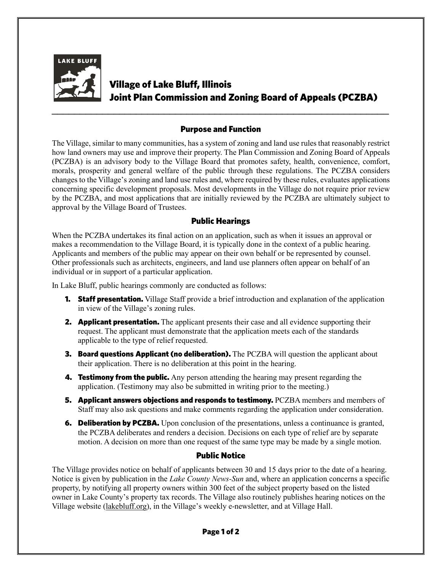

# Village of Lake Bluff, Illinois Joint Plan Commission and Zoning Board of Appeals (PCZBA)

## Purpose and Function

*\_\_\_\_\_\_\_\_\_\_\_\_\_\_\_\_\_\_\_\_\_\_\_\_\_\_\_\_\_\_\_\_\_\_\_\_\_\_\_\_\_\_\_\_\_\_\_\_\_\_\_\_\_\_\_\_\_\_\_\_*

The Village, similar to many communities, has a system of zoning and land use rules that reasonably restrict how land owners may use and improve their property. The Plan Commission and Zoning Board of Appeals (PCZBA) is an advisory body to the Village Board that promotes safety, health, convenience, comfort, morals, prosperity and general welfare of the public through these regulations. The PCZBA considers changes to the Village's zoning and land use rules and, where required by these rules, evaluates applications concerning specific development proposals. Most developments in the Village do not require prior review by the PCZBA, and most applications that are initially reviewed by the PCZBA are ultimately subject to approval by the Village Board of Trustees.

## Public Hearings

When the PCZBA undertakes its final action on an application, such as when it issues an approval or makes a recommendation to the Village Board, it is typically done in the context of a public hearing. Applicants and members of the public may appear on their own behalf or be represented by counsel. Other professionals such as architects, engineers, and land use planners often appear on behalf of an individual or in support of a particular application.

In Lake Bluff, public hearings commonly are conducted as follows:

- **1. Staff presentation.** Village Staff provide a brief introduction and explanation of the application in view of the Village's zoning rules.
- **2.** Applicant presentation. The applicant presents their case and all evidence supporting their request. The applicant must demonstrate that the application meets each of the standards applicable to the type of relief requested.
- **3. Board questions Applicant (no deliberation).** The PCZBA will question the applicant about their application. There is no deliberation at this point in the hearing.
- **4. Testimony from the public.** Any person attending the hearing may present regarding the application. (Testimony may also be submitted in writing prior to the meeting.)
- **5. Applicant answers objections and responds to testimony.** PCZBA members and members of Staff may also ask questions and make comments regarding the application under consideration.
- **6. Deliberation by PCZBA.** Upon conclusion of the presentations, unless a continuance is granted, the PCZBA deliberates and renders a decision. Decisions on each type of relief are by separate motion. A decision on more than one request of the same type may be made by a single motion.

## Public Notice

The Village provides notice on behalf of applicants between 30 and 15 days prior to the date of a hearing. Notice is given by publication in the *Lake County News-Sun* and, where an application concerns a specific property, by notifying all property owners within 300 feet of the subject property based on the listed owner in Lake County's property tax records. The Village also routinely publishes hearing notices on the Village website (lakebluff.org), in the Village's weekly e-newsletter, and at Village Hall.